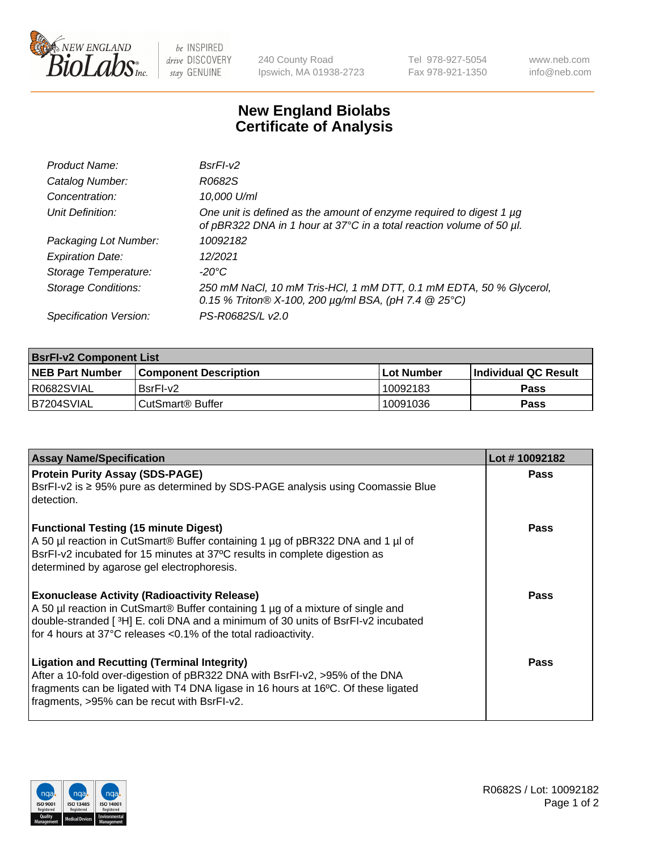

 $be$  INSPIRED drive DISCOVERY stay GENUINE

240 County Road Ipswich, MA 01938-2723 Tel 978-927-5054 Fax 978-921-1350 www.neb.com info@neb.com

## **New England Biolabs Certificate of Analysis**

| Product Name:              | $BsrFI-V2$                                                                                                                                  |
|----------------------------|---------------------------------------------------------------------------------------------------------------------------------------------|
| Catalog Number:            | R0682S                                                                                                                                      |
| Concentration:             | 10,000 U/ml                                                                                                                                 |
| Unit Definition:           | One unit is defined as the amount of enzyme required to digest 1 µg<br>of pBR322 DNA in 1 hour at 37°C in a total reaction volume of 50 µl. |
| Packaging Lot Number:      | 10092182                                                                                                                                    |
| <b>Expiration Date:</b>    | 12/2021                                                                                                                                     |
| Storage Temperature:       | $-20^{\circ}$ C                                                                                                                             |
| <b>Storage Conditions:</b> | 250 mM NaCl, 10 mM Tris-HCl, 1 mM DTT, 0.1 mM EDTA, 50 % Glycerol,<br>0.15 % Triton® X-100, 200 $\mu$ g/ml BSA, (pH 7.4 @ 25°C)             |
| Specification Version:     | PS-R0682S/L v2.0                                                                                                                            |

| <b>BsrFI-v2 Component List</b> |                         |             |                             |  |  |
|--------------------------------|-------------------------|-------------|-----------------------------|--|--|
| <b>NEB Part Number</b>         | l Component Description | ⊺Lot Number | <b>Individual QC Result</b> |  |  |
| I R0682SVIAL                   | BsrFI-v2                | 10092183    | Pass                        |  |  |
| IB7204SVIAL                    | l CutSmart® Buffer_     | 10091036    | Pass                        |  |  |

| <b>Assay Name/Specification</b>                                                                                                                                                                                                                                                              | Lot #10092182 |
|----------------------------------------------------------------------------------------------------------------------------------------------------------------------------------------------------------------------------------------------------------------------------------------------|---------------|
| <b>Protein Purity Assay (SDS-PAGE)</b><br>BsrFI-v2 is ≥ 95% pure as determined by SDS-PAGE analysis using Coomassie Blue<br>detection.                                                                                                                                                       | <b>Pass</b>   |
| <b>Functional Testing (15 minute Digest)</b><br>A 50 µl reaction in CutSmart® Buffer containing 1 µg of pBR322 DNA and 1 µl of<br>BsrFI-v2 incubated for 15 minutes at 37°C results in complete digestion as<br>determined by agarose gel electrophoresis.                                   | <b>Pass</b>   |
| <b>Exonuclease Activity (Radioactivity Release)</b><br>A 50 µl reaction in CutSmart® Buffer containing 1 µg of a mixture of single and<br>double-stranded [3H] E. coli DNA and a minimum of 30 units of BsrFI-v2 incubated<br>for 4 hours at 37°C releases <0.1% of the total radioactivity. | Pass          |
| <b>Ligation and Recutting (Terminal Integrity)</b><br>After a 10-fold over-digestion of pBR322 DNA with BsrFI-v2, >95% of the DNA<br>fragments can be ligated with T4 DNA ligase in 16 hours at 16°C. Of these ligated<br>fragments, >95% can be recut with BsrFI-v2.                        | Pass          |